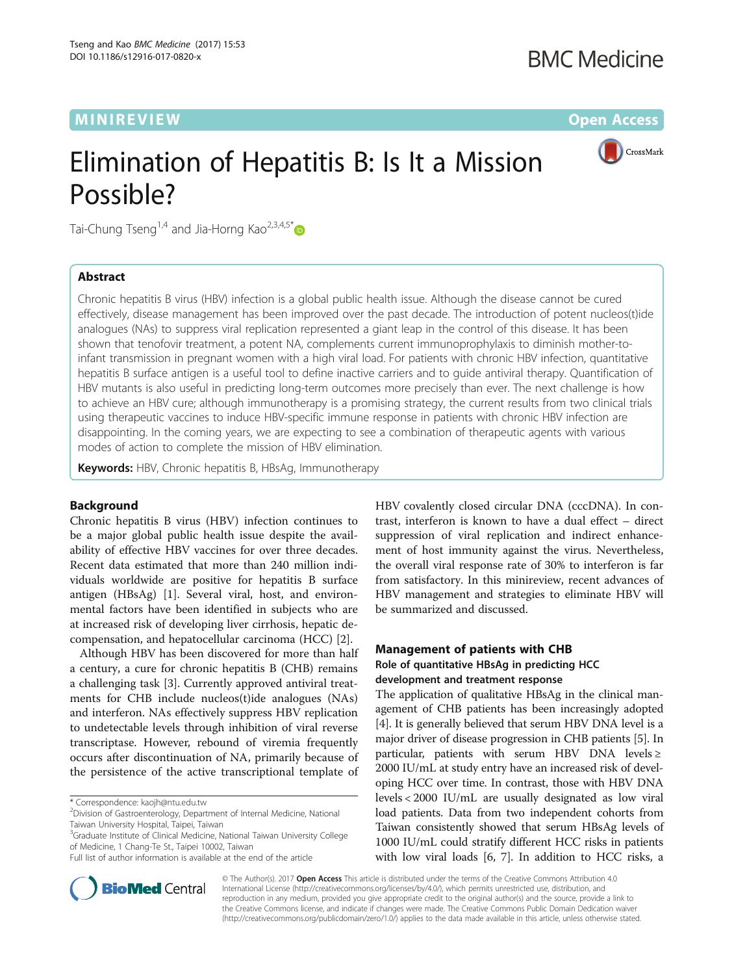## MINIREVIEW **CONTROLLER IN THE EXISTENCE OF A SECOND ACCESS**

CrossMark

# Elimination of Hepatitis B: Is It a Mission Possible?

Tai-Chung Tseng<sup>1,4</sup> and Jia-Horng Kao<sup>2,3,4,5\*</sup>

## Abstract

Chronic hepatitis B virus (HBV) infection is a global public health issue. Although the disease cannot be cured effectively, disease management has been improved over the past decade. The introduction of potent nucleos(t)ide analogues (NAs) to suppress viral replication represented a giant leap in the control of this disease. It has been shown that tenofovir treatment, a potent NA, complements current immunoprophylaxis to diminish mother-toinfant transmission in pregnant women with a high viral load. For patients with chronic HBV infection, quantitative hepatitis B surface antigen is a useful tool to define inactive carriers and to guide antiviral therapy. Quantification of HBV mutants is also useful in predicting long-term outcomes more precisely than ever. The next challenge is how to achieve an HBV cure; although immunotherapy is a promising strategy, the current results from two clinical trials using therapeutic vaccines to induce HBV-specific immune response in patients with chronic HBV infection are disappointing. In the coming years, we are expecting to see a combination of therapeutic agents with various modes of action to complete the mission of HBV elimination.

Keywords: HBV, Chronic hepatitis B, HBsAg, Immunotherapy

## Background

Chronic hepatitis B virus (HBV) infection continues to be a major global public health issue despite the availability of effective HBV vaccines for over three decades. Recent data estimated that more than 240 million individuals worldwide are positive for hepatitis B surface antigen (HBsAg) [[1\]](#page-4-0). Several viral, host, and environmental factors have been identified in subjects who are at increased risk of developing liver cirrhosis, hepatic decompensation, and hepatocellular carcinoma (HCC) [\[2](#page-4-0)].

Although HBV has been discovered for more than half a century, a cure for chronic hepatitis B (CHB) remains a challenging task [[3\]](#page-4-0). Currently approved antiviral treatments for CHB include nucleos(t)ide analogues (NAs) and interferon. NAs effectively suppress HBV replication to undetectable levels through inhibition of viral reverse transcriptase. However, rebound of viremia frequently occurs after discontinuation of NA, primarily because of the persistence of the active transcriptional template of

<sup>3</sup>Graduate Institute of Clinical Medicine, National Taiwan University College of Medicine, 1 Chang-Te St., Taipei 10002, Taiwan

HBV covalently closed circular DNA (cccDNA). In contrast, interferon is known to have a dual effect – direct suppression of viral replication and indirect enhancement of host immunity against the virus. Nevertheless, the overall viral response rate of 30% to interferon is far from satisfactory. In this minireview, recent advances of HBV management and strategies to eliminate HBV will be summarized and discussed.

## Management of patients with CHB Role of quantitative HBsAg in predicting HCC development and treatment response

The application of qualitative HBsAg in the clinical management of CHB patients has been increasingly adopted [[4\]](#page-4-0). It is generally believed that serum HBV DNA level is a major driver of disease progression in CHB patients [\[5](#page-4-0)]. In particular, patients with serum HBV DNA levels  $\ge$ 2000 IU/mL at study entry have an increased risk of developing HCC over time. In contrast, those with HBV DNA levels < 2000 IU/mL are usually designated as low viral load patients. Data from two independent cohorts from Taiwan consistently showed that serum HBsAg levels of 1000 IU/mL could stratify different HCC risks in patients with low viral loads [\[6](#page-4-0), [7](#page-4-0)]. In addition to HCC risks, a



© The Author(s). 2017 **Open Access** This article is distributed under the terms of the Creative Commons Attribution 4.0 International License [\(http://creativecommons.org/licenses/by/4.0/](http://creativecommons.org/licenses/by/4.0/)), which permits unrestricted use, distribution, and reproduction in any medium, provided you give appropriate credit to the original author(s) and the source, provide a link to the Creative Commons license, and indicate if changes were made. The Creative Commons Public Domain Dedication waiver [\(http://creativecommons.org/publicdomain/zero/1.0/](http://creativecommons.org/publicdomain/zero/1.0/)) applies to the data made available in this article, unless otherwise stated.

<sup>\*</sup> Correspondence: [kaojh@ntu.edu.tw](mailto:kaojh@ntu.edu.tw) <sup>2</sup>

<sup>&</sup>lt;sup>2</sup> Division of Gastroenterology, Department of Internal Medicine, National Taiwan University Hospital, Taipei, Taiwan

Full list of author information is available at the end of the article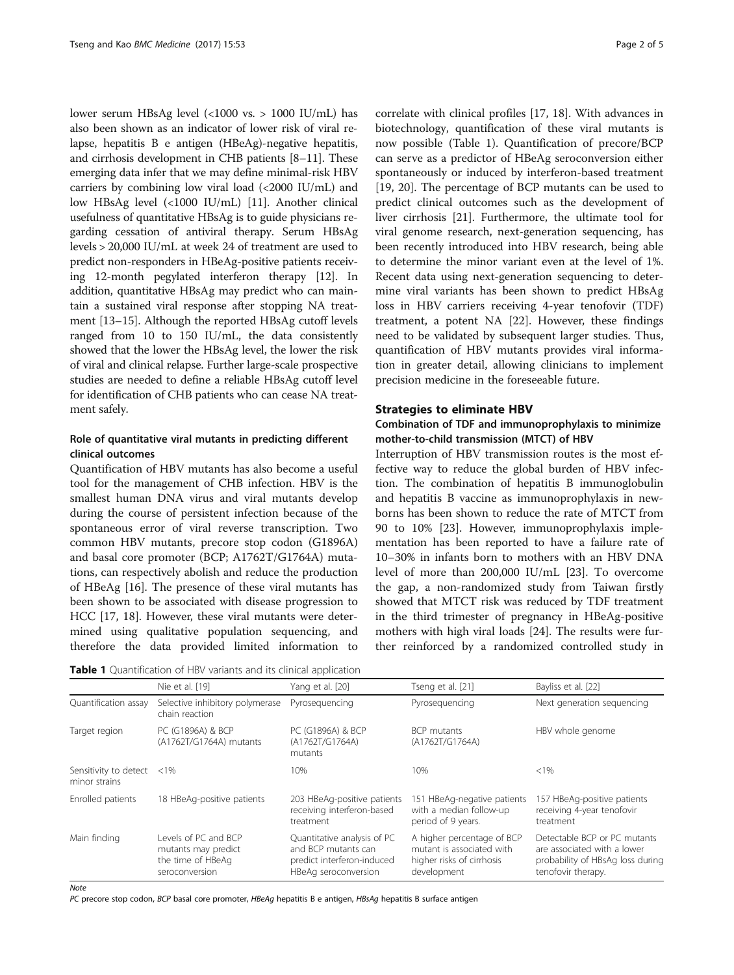lower serum HBsAg level (<1000 vs. > 1000 IU/mL) has also been shown as an indicator of lower risk of viral relapse, hepatitis B e antigen (HBeAg)-negative hepatitis, and cirrhosis development in CHB patients [\[8](#page-4-0)–[11](#page-4-0)]. These emerging data infer that we may define minimal-risk HBV carriers by combining low viral load (<2000 IU/mL) and low HBsAg level (<1000 IU/mL) [\[11\]](#page-4-0). Another clinical usefulness of quantitative HBsAg is to guide physicians regarding cessation of antiviral therapy. Serum HBsAg levels > 20,000 IU/mL at week 24 of treatment are used to predict non-responders in HBeAg-positive patients receiving 12-month pegylated interferon therapy [\[12\]](#page-4-0). In addition, quantitative HBsAg may predict who can maintain a sustained viral response after stopping NA treatment [[13](#page-4-0)–[15\]](#page-4-0). Although the reported HBsAg cutoff levels ranged from 10 to 150 IU/mL, the data consistently showed that the lower the HBsAg level, the lower the risk of viral and clinical relapse. Further large-scale prospective studies are needed to define a reliable HBsAg cutoff level for identification of CHB patients who can cease NA treatment safely.

## Role of quantitative viral mutants in predicting different clinical outcomes

Quantification of HBV mutants has also become a useful tool for the management of CHB infection. HBV is the smallest human DNA virus and viral mutants develop during the course of persistent infection because of the spontaneous error of viral reverse transcription. Two common HBV mutants, precore stop codon (G1896A) and basal core promoter (BCP; A1762T/G1764A) mutations, can respectively abolish and reduce the production of HBeAg [\[16](#page-4-0)]. The presence of these viral mutants has been shown to be associated with disease progression to HCC [\[17](#page-4-0), [18\]](#page-4-0). However, these viral mutants were determined using qualitative population sequencing, and therefore the data provided limited information to

| Table 1 Quantification of HBV variants and its clinical application |  |  |  |  |  |
|---------------------------------------------------------------------|--|--|--|--|--|
|---------------------------------------------------------------------|--|--|--|--|--|

correlate with clinical profiles [\[17](#page-4-0), [18](#page-4-0)]. With advances in biotechnology, quantification of these viral mutants is now possible (Table 1). Quantification of precore/BCP can serve as a predictor of HBeAg seroconversion either spontaneously or induced by interferon-based treatment [[19, 20\]](#page-4-0). The percentage of BCP mutants can be used to predict clinical outcomes such as the development of liver cirrhosis [\[21](#page-4-0)]. Furthermore, the ultimate tool for viral genome research, next-generation sequencing, has been recently introduced into HBV research, being able to determine the minor variant even at the level of 1%. Recent data using next-generation sequencing to determine viral variants has been shown to predict HBsAg loss in HBV carriers receiving 4-year tenofovir (TDF) treatment, a potent NA [\[22](#page-4-0)]. However, these findings need to be validated by subsequent larger studies. Thus, quantification of HBV mutants provides viral information in greater detail, allowing clinicians to implement precision medicine in the foreseeable future.

### Strategies to eliminate HBV

## Combination of TDF and immunoprophylaxis to minimize mother-to-child transmission (MTCT) of HBV

Interruption of HBV transmission routes is the most effective way to reduce the global burden of HBV infection. The combination of hepatitis B immunoglobulin and hepatitis B vaccine as immunoprophylaxis in newborns has been shown to reduce the rate of MTCT from 90 to 10% [[23\]](#page-4-0). However, immunoprophylaxis implementation has been reported to have a failure rate of 10–30% in infants born to mothers with an HBV DNA level of more than 200,000 IU/mL [\[23](#page-4-0)]. To overcome the gap, a non-randomized study from Taiwan firstly showed that MTCT risk was reduced by TDF treatment in the third trimester of pregnancy in HBeAg-positive mothers with high viral loads [[24](#page-4-0)]. The results were further reinforced by a randomized controlled study in

|                                        | Nie et al. [19]                                                                    | Yang et al. [20]                                                                                         | Tseng et al. [21]                                                                                   | Bayliss et al. [22]                                                                                                   |
|----------------------------------------|------------------------------------------------------------------------------------|----------------------------------------------------------------------------------------------------------|-----------------------------------------------------------------------------------------------------|-----------------------------------------------------------------------------------------------------------------------|
| Quantification assay                   | Selective inhibitory polymerase<br>chain reaction                                  | Pyroseguencing                                                                                           | Pyrosequencing                                                                                      | Next generation sequencing                                                                                            |
| Target region                          | PC (G1896A) & BCP<br>(A1762T/G1764A) mutants                                       | PC (G1896A) & BCP<br>(A1762T/G1764A)<br>mutants                                                          | BCP mutants<br>(A1762T/G1764A)                                                                      | HBV whole genome                                                                                                      |
| Sensitivity to detect<br>minor strains | $< 1\%$                                                                            | 10%                                                                                                      | 10%                                                                                                 | $< 1\%$                                                                                                               |
| Enrolled patients                      | 18 HBeAg-positive patients                                                         | 203 HBeAg-positive patients<br>receiving interferon-based<br>treatment                                   | 151 HBeAg-negative patients<br>with a median follow-up<br>period of 9 years.                        | 157 HBeAg-positive patients<br>receiving 4-year tenofovir<br>treatment                                                |
| Main finding                           | Levels of PC and BCP<br>mutants may predict<br>the time of HBeAg<br>seroconversion | Quantitative analysis of PC<br>and BCP mutants can<br>predict interferon-induced<br>HBeAg seroconversion | A higher percentage of BCP<br>mutant is associated with<br>higher risks of cirrhosis<br>development | Detectable BCP or PC mutants<br>are associated with a lower<br>probability of HBsAg loss during<br>tenofovir therapy. |

**Note** 

PC precore stop codon, BCP basal core promoter, HBeAg hepatitis B e antigen, HBsAg hepatitis B surface antigen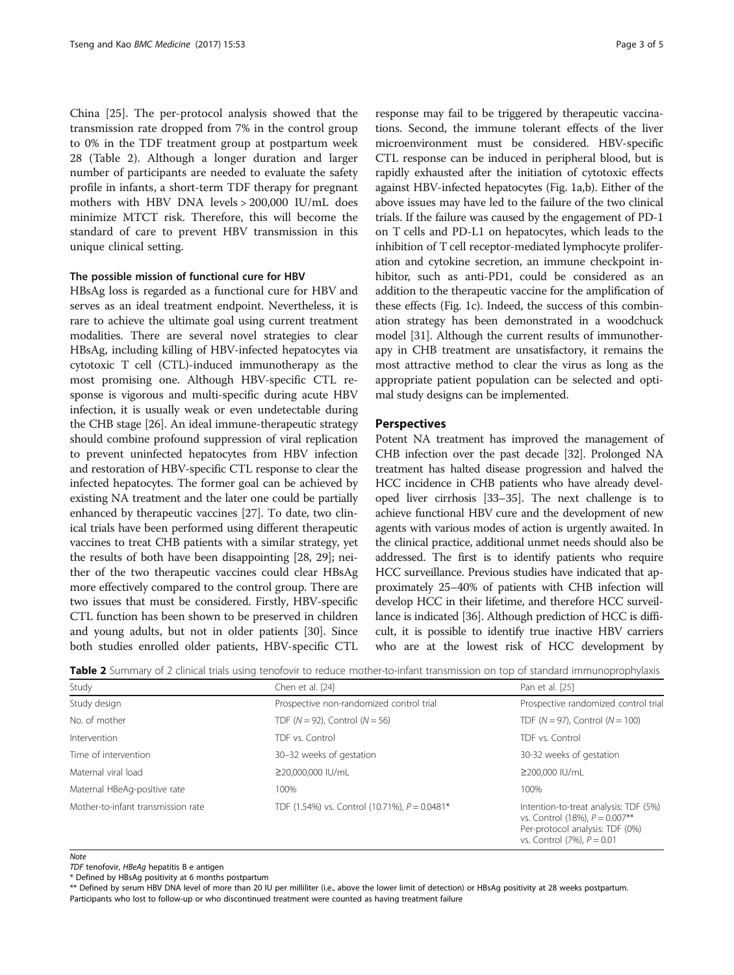China [[25\]](#page-4-0). The per-protocol analysis showed that the transmission rate dropped from 7% in the control group to 0% in the TDF treatment group at postpartum week 28 (Table 2). Although a longer duration and larger number of participants are needed to evaluate the safety profile in infants, a short-term TDF therapy for pregnant mothers with HBV DNA levels > 200,000 IU/mL does minimize MTCT risk. Therefore, this will become the standard of care to prevent HBV transmission in this unique clinical setting.

#### The possible mission of functional cure for HBV

HBsAg loss is regarded as a functional cure for HBV and serves as an ideal treatment endpoint. Nevertheless, it is rare to achieve the ultimate goal using current treatment modalities. There are several novel strategies to clear HBsAg, including killing of HBV-infected hepatocytes via cytotoxic T cell (CTL)-induced immunotherapy as the most promising one. Although HBV-specific CTL response is vigorous and multi-specific during acute HBV infection, it is usually weak or even undetectable during the CHB stage [[26](#page-4-0)]. An ideal immune-therapeutic strategy should combine profound suppression of viral replication to prevent uninfected hepatocytes from HBV infection and restoration of HBV-specific CTL response to clear the infected hepatocytes. The former goal can be achieved by existing NA treatment and the later one could be partially enhanced by therapeutic vaccines [\[27\]](#page-4-0). To date, two clinical trials have been performed using different therapeutic vaccines to treat CHB patients with a similar strategy, yet the results of both have been disappointing [\[28, 29](#page-4-0)]; neither of the two therapeutic vaccines could clear HBsAg more effectively compared to the control group. There are two issues that must be considered. Firstly, HBV-specific CTL function has been shown to be preserved in children and young adults, but not in older patients [[30](#page-4-0)]. Since both studies enrolled older patients, HBV-specific CTL response may fail to be triggered by therapeutic vaccinations. Second, the immune tolerant effects of the liver microenvironment must be considered. HBV-specific CTL response can be induced in peripheral blood, but is rapidly exhausted after the initiation of cytotoxic effects against HBV-infected hepatocytes (Fig. [1a,b\)](#page-3-0). Either of the above issues may have led to the failure of the two clinical trials. If the failure was caused by the engagement of PD-1 on T cells and PD-L1 on hepatocytes, which leads to the inhibition of T cell receptor-mediated lymphocyte proliferation and cytokine secretion, an immune checkpoint inhibitor, such as anti-PD1, could be considered as an addition to the therapeutic vaccine for the amplification of these effects (Fig. [1c\)](#page-3-0). Indeed, the success of this combination strategy has been demonstrated in a woodchuck model [\[31\]](#page-4-0). Although the current results of immunotherapy in CHB treatment are unsatisfactory, it remains the most attractive method to clear the virus as long as the appropriate patient population can be selected and optimal study designs can be implemented.

#### **Perspectives**

Potent NA treatment has improved the management of CHB infection over the past decade [[32](#page-4-0)]. Prolonged NA treatment has halted disease progression and halved the HCC incidence in CHB patients who have already developed liver cirrhosis [\[33](#page-4-0)–[35](#page-4-0)]. The next challenge is to achieve functional HBV cure and the development of new agents with various modes of action is urgently awaited. In the clinical practice, additional unmet needs should also be addressed. The first is to identify patients who require HCC surveillance. Previous studies have indicated that approximately 25–40% of patients with CHB infection will develop HCC in their lifetime, and therefore HCC surveillance is indicated [\[36](#page-4-0)]. Although prediction of HCC is difficult, it is possible to identify true inactive HBV carriers who are at the lowest risk of HCC development by

| <b>Table 2</b> Summary of 2 clinical trials using tenofovir to reduce mother-to-infant transmission on top of standard immunoprophylaxis |  |  |  |
|------------------------------------------------------------------------------------------------------------------------------------------|--|--|--|
|------------------------------------------------------------------------------------------------------------------------------------------|--|--|--|

| Study<br>Chen et al. [24]                                                             |                                          | Pan et al. [25]                                                                                                                                 |  |
|---------------------------------------------------------------------------------------|------------------------------------------|-------------------------------------------------------------------------------------------------------------------------------------------------|--|
| Study design                                                                          | Prospective non-randomized control trial | Prospective randomized control trial                                                                                                            |  |
| No. of mother                                                                         | TDF ( $N = 92$ ), Control ( $N = 56$ )   | TDF ( $N = 97$ ), Control ( $N = 100$ )                                                                                                         |  |
| Intervention                                                                          | TDF vs. Control                          | TDF vs. Control                                                                                                                                 |  |
| Time of intervention                                                                  | 30-32 weeks of gestation                 | 30-32 weeks of gestation                                                                                                                        |  |
| Maternal viral load                                                                   | ≥20,000,000 IU/mL                        | ≥200.000 IU/mL                                                                                                                                  |  |
| Maternal HBeAg-positive rate                                                          | 100%                                     | 100%                                                                                                                                            |  |
| Mother-to-infant transmission rate<br>TDF (1.54%) vs. Control (10.71%), $P = 0.0481*$ |                                          | Intention-to-treat analysis: TDF (5%)<br>vs. Control (18%), $P = 0.007**$<br>Per-protocol analysis: TDF (0%)<br>vs. Control $(7%)$ , $P = 0.01$ |  |

#### **Note**

TDF tenofovir, HBeAg hepatitis B e antigen

\* Defined by HBsAg positivity at 6 months postpartum

\*\* Defined by serum HBV DNA level of more than 20 IU per milliliter (i.e., above the lower limit of detection) or HBsAg positivity at 28 weeks postpartum. Participants who lost to follow-up or who discontinued treatment were counted as having treatment failure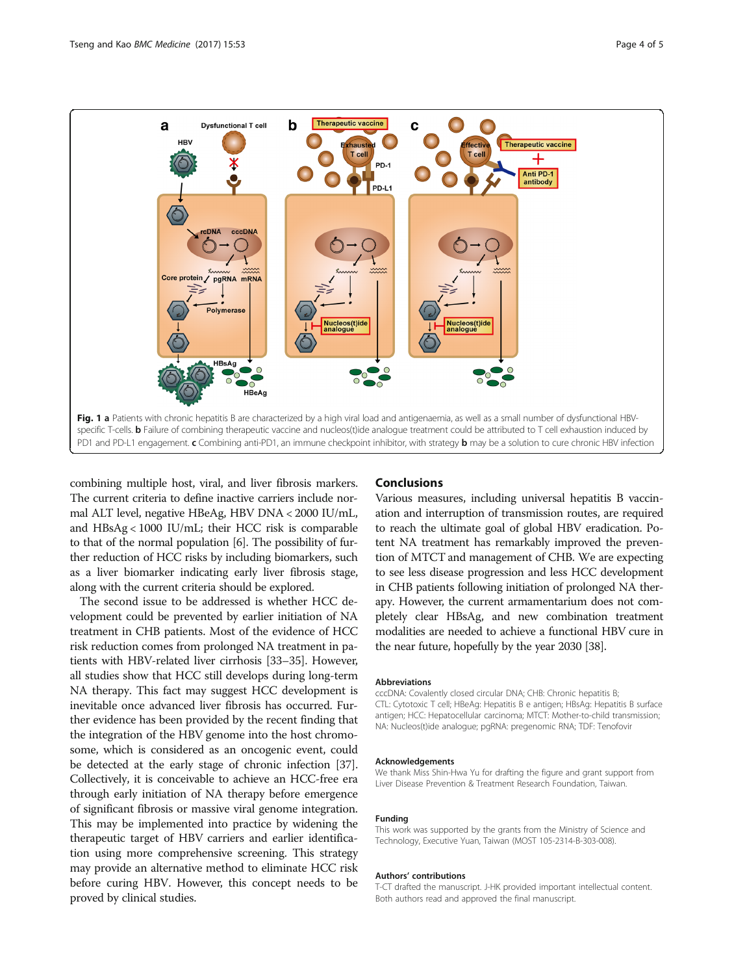<span id="page-3-0"></span>

combining multiple host, viral, and liver fibrosis markers. The current criteria to define inactive carriers include normal ALT level, negative HBeAg, HBV DNA < 2000 IU/mL, and HBsAg < 1000 IU/mL; their HCC risk is comparable to that of the normal population [[6\]](#page-4-0). The possibility of further reduction of HCC risks by including biomarkers, such as a liver biomarker indicating early liver fibrosis stage, along with the current criteria should be explored.

The second issue to be addressed is whether HCC development could be prevented by earlier initiation of NA treatment in CHB patients. Most of the evidence of HCC risk reduction comes from prolonged NA treatment in patients with HBV-related liver cirrhosis [\[33](#page-4-0)–[35](#page-4-0)]. However, all studies show that HCC still develops during long-term NA therapy. This fact may suggest HCC development is inevitable once advanced liver fibrosis has occurred. Further evidence has been provided by the recent finding that the integration of the HBV genome into the host chromosome, which is considered as an oncogenic event, could be detected at the early stage of chronic infection [[37](#page-4-0)]. Collectively, it is conceivable to achieve an HCC-free era through early initiation of NA therapy before emergence of significant fibrosis or massive viral genome integration. This may be implemented into practice by widening the therapeutic target of HBV carriers and earlier identification using more comprehensive screening. This strategy may provide an alternative method to eliminate HCC risk before curing HBV. However, this concept needs to be proved by clinical studies.

## Conclusions

Various measures, including universal hepatitis B vaccination and interruption of transmission routes, are required to reach the ultimate goal of global HBV eradication. Potent NA treatment has remarkably improved the prevention of MTCT and management of CHB. We are expecting to see less disease progression and less HCC development in CHB patients following initiation of prolonged NA therapy. However, the current armamentarium does not completely clear HBsAg, and new combination treatment modalities are needed to achieve a functional HBV cure in the near future, hopefully by the year 2030 [[38](#page-4-0)].

#### Abbreviations

cccDNA: Covalently closed circular DNA; CHB: Chronic hepatitis B; CTL: Cytotoxic T cell; HBeAg: Hepatitis B e antigen; HBsAg: Hepatitis B surface antigen; HCC: Hepatocellular carcinoma; MTCT: Mother-to-child transmission; NA: Nucleos(t)ide analogue; pgRNA: pregenomic RNA; TDF: Tenofovir

#### Acknowledgements

We thank Miss Shin-Hwa Yu for drafting the figure and grant support from Liver Disease Prevention & Treatment Research Foundation, Taiwan.

#### Funding

This work was supported by the grants from the Ministry of Science and Technology, Executive Yuan, Taiwan (MOST 105-2314-B-303-008).

#### Authors' contributions

T-CT drafted the manuscript. J-HK provided important intellectual content. Both authors read and approved the final manuscript.